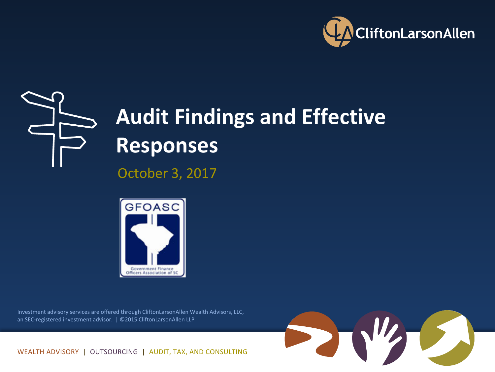



## **Audit Findings and Effective Responses**

October 3, 2017



Investment advisory services are offered through CliftonLarsonAllen Wealth Advisors, LLC, an SEC-registered investment advisor. | ©2015 CliftonLarsonAllen LLP



WEALTH ADVISORY | OUTSOURCING | AUDIT, TAX, AND CONSULTING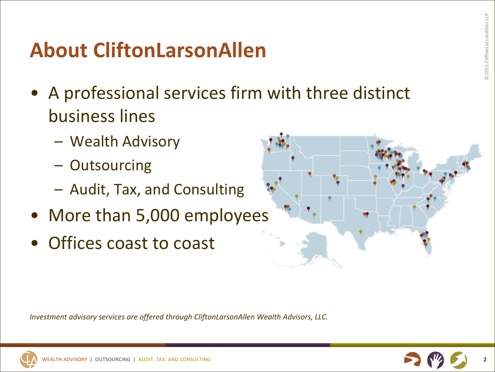#### **About CliftonLarsonAllen**

- A professional services firm with three distinct business lines
	- Wealth Advisory
	- Outsourcing
	- Audit, Tax, and Consulting
- More than 5,000 employees
- Offices coast to coast



*Investment advisory services are offered through CliftonLarsonAllen Wealth Advisors, LLC.* 



**2**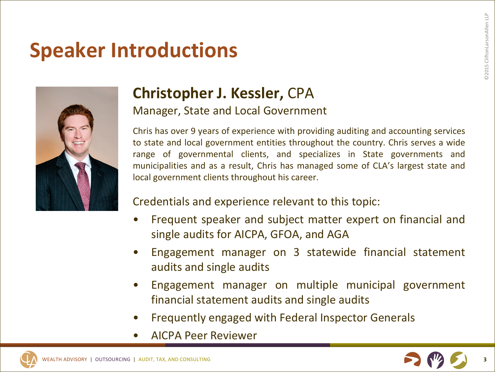#### **Speaker Introductions**



#### **Christopher J. Kessler, CPA**

Manager, State and Local Government

Chris has over 9 years of experience with providing auditing and accounting services to state and local government entities throughout the country. Chris serves a wide range of governmental clients, and specializes in State governments and municipalities and as a result, Chris has managed some of CLA's largest state and local government clients throughout his career.

#### Credentials and experience relevant to this topic:

- Frequent speaker and subject matter expert on financial and single audits for AICPA, GFOA, and AGA
- Engagement manager on 3 statewide financial statement audits and single audits
- Engagement manager on multiple municipal government financial statement audits and single audits
- Frequently engaged with Federal Inspector Generals
- AICPA Peer Reviewer

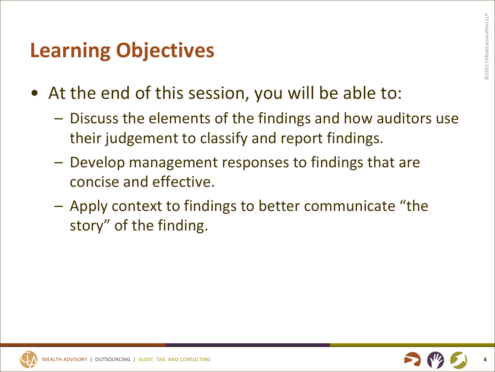#### **Learning Objectives**

- At the end of this session, you will be able to:
	- $-$  Discuss the elements of the findings and how auditors use their judgement to classify and report findings.
	- Develop management responses to findings that are concise and effective.
	- $-$  Apply context to findings to better communicate "the story" of the finding.

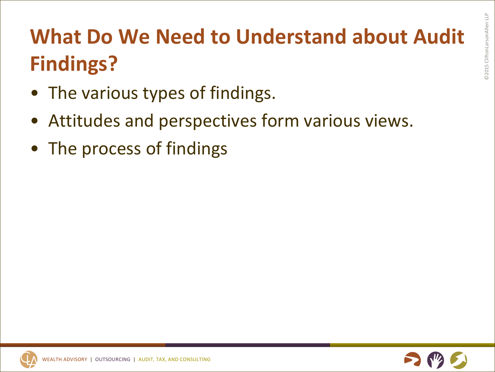# **What Do We Need to Understand about Audit Findings?**

- The various types of findings.
- Attitudes and perspectives form various views.
- The process of findings

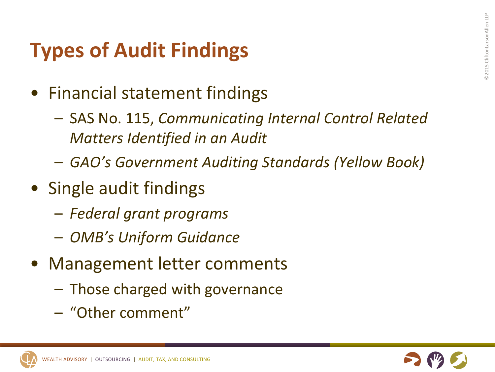### **Types of Audit Findings**

- Financial statement findings
	- SAS No. 115, *Communicating Internal Control Related Matters Identified in an Audit*
	- *GAO's Government Auditing Standards (Yellow Book)*
- Single audit findings
	- *Federal grant programs*
	- *OMB's Uniform Guidance*
- Management letter comments
	- Those charged with governance
	- "Other comment"

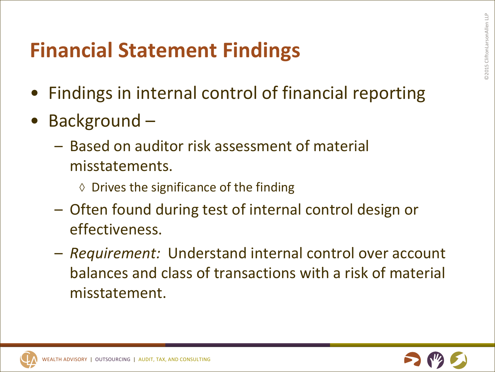#### **Financial Statement Findings**

- Findings in internal control of financial reporting
- Background -
	- $-$  Based on auditor risk assessment of material misstatements.
		- $\diamond$  Drives the significance of the finding
	- Often found during test of internal control design or effectiveness.
	- $-$  *Requirement:* Understand internal control over account balances and class of transactions with a risk of material misstatement.

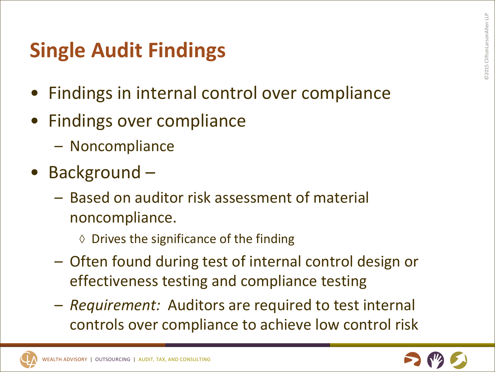#### **Single Audit Findings**

- Findings in internal control over compliance
- Findings over compliance
	- Noncompliance
- Background
	- Based on auditor risk assessment of material noncompliance.
		- $\diamond$  Drives the significance of the finding
	- Often found during test of internal control design or effectiveness testing and compliance testing
	- $-$  *Requirement:* Auditors are required to test internal controls over compliance to achieve low control risk

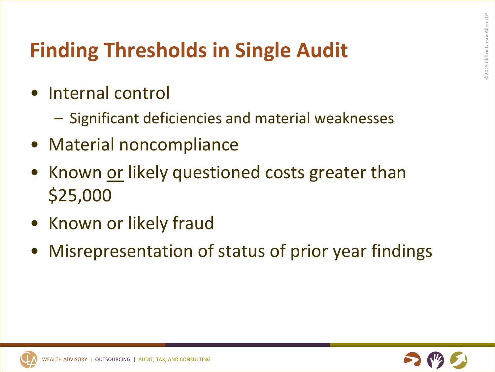## **Finding Thresholds in Single Audit**

- Internal control
	- $-$  Significant deficiencies and material weaknesses
- Material noncompliance
- Known or likely questioned costs greater than \$25,000
- Known or likely fraud
- Misrepresentation of status of prior year findings

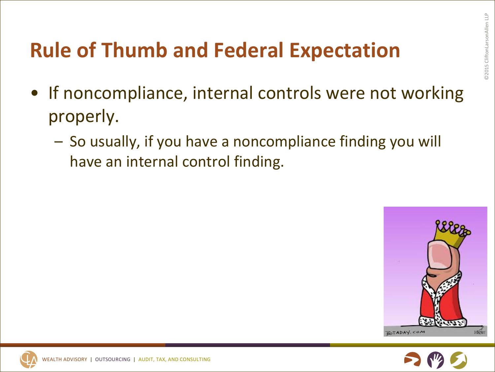## **Rule of Thumb and Federal Expectation**

- If noncompliance, internal controls were not working properly.
	- $-$  So usually, if you have a noncompliance finding you will have an internal control finding.



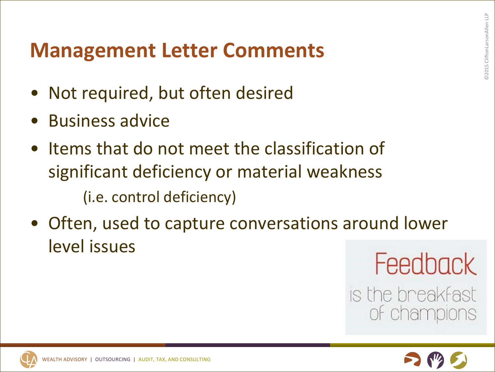#### **Management Letter Comments**

- Not required, but often desired
- Business advice
- Items that do not meet the classification of significant deficiency or material weakness (i.e. control deficiency)
- Often, used to capture conversations around lower level issues

Feedback

is the breakfast of champions

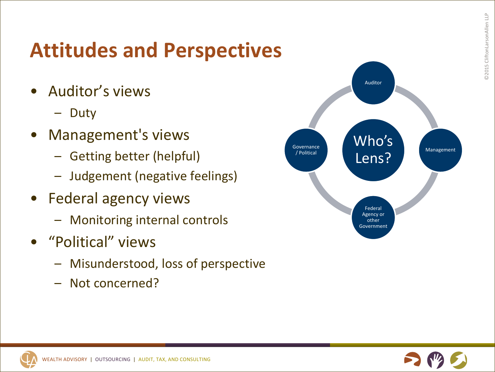#### **Attitudes and Perspectives**

- Auditor's views
	- Duty
- Management's views
	- Getting better (helpful)
	- Judgement (negative feelings)
- Federal agency views
	- Monitoring internal controls
- "Political" views
	- Misunderstood, loss of perspective
	- Not concerned?



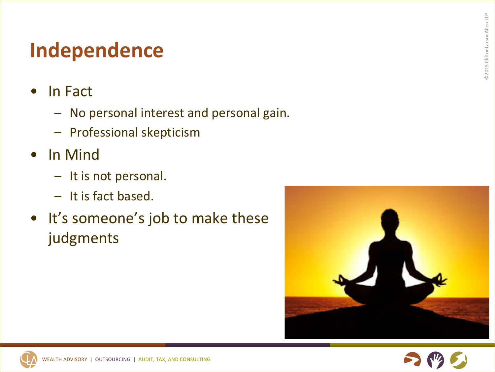## **Independence**

- In Fact
	- No personal interest and personal gain.
	- Professional skepticism
- In Mind
	- It is not personal.
	- It is fact based.
- It's someone's job to make these judgments



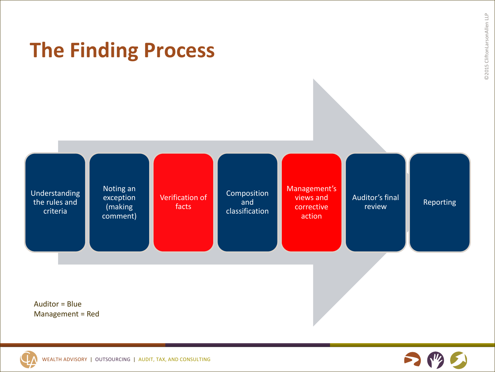

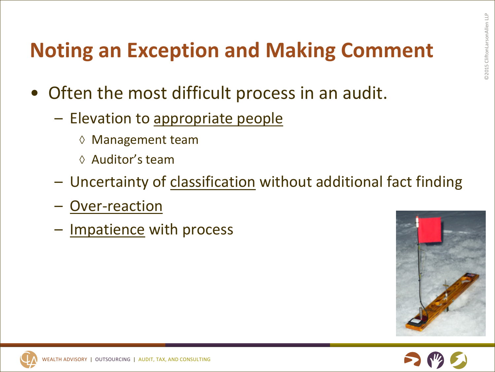### **Noting an Exception and Making Comment**

- Often the most difficult process in an audit.
	- $-$  Elevation to appropriate people
		- ◊ Management team
		- $\Diamond$  Auditor's team
	- Uncertainty of classification without additional fact finding
	- Over-reaction
	- Impatience with process



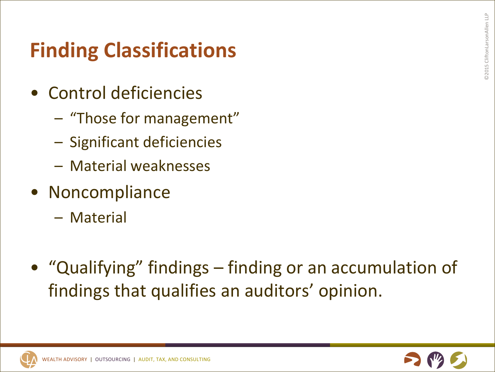## **Finding Classifications**

- Control deficiencies
	- "Those for management"
	- Significant deficiencies
	- Material weaknesses
- Noncompliance
	- Material
- "Qualifying" findings finding or an accumulation of findings that qualifies an auditors' opinion.

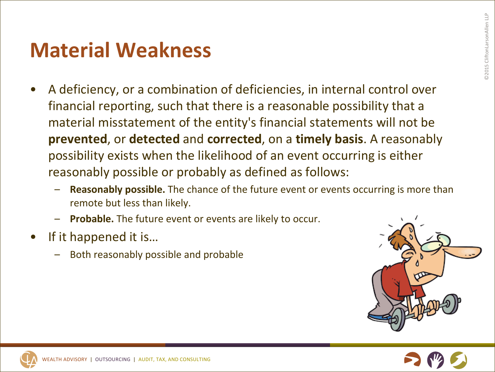#### **Material Weakness**

- A deficiency, or a combination of deficiencies, in internal control over financial reporting, such that there is a reasonable possibility that a material misstatement of the entity's financial statements will not be **prevented**, or detected and corrected, on a timely basis. A reasonably possibility exists when the likelihood of an event occurring is either reasonably possible or probably as defined as follows:
	- **Reasonably possible.** The chance of the future event or events occurring is more than remote but less than likely.
	- **Probable.** The future event or events are likely to occur.
- If it happened it is...
	- Both reasonably possible and probable



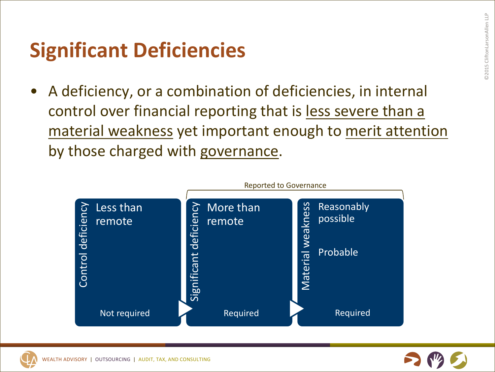#### **Significant Deficiencies**

A deficiency, or a combination of deficiencies, in internal control over financial reporting that is less severe than a material weakness yet important enough to merit attention by those charged with governance.



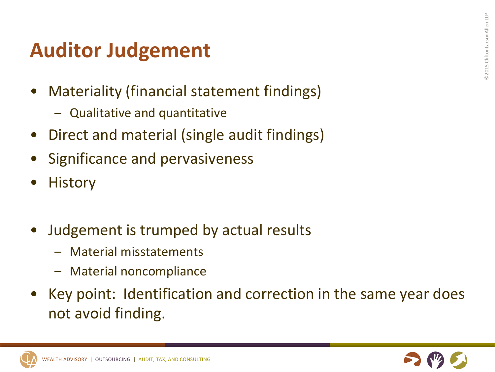#### **Auditor Judgement**

- Materiality (financial statement findings)
	- $-$  Qualitative and quantitative
- Direct and material (single audit findings)
- Significance and pervasiveness
- **History**
- Judgement is trumped by actual results
	- Material misstatements
	- Material noncompliance
- Key point: Identification and correction in the same year does not avoid finding.

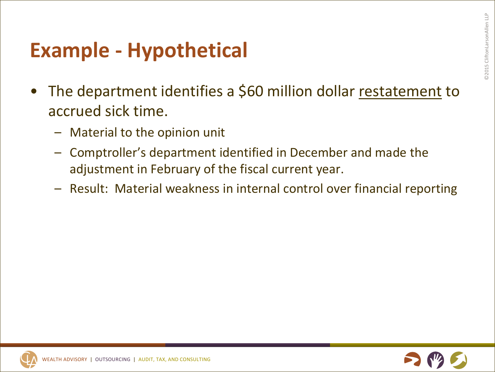#### **Example - Hypothetical**

- The department identifies a \$60 million dollar restatement to accrued sick time.
	- $-$  Material to the opinion unit
	- Comptroller's department identified in December and made the adjustment in February of the fiscal current year.
	- $-$  Result: Material weakness in internal control over financial reporting

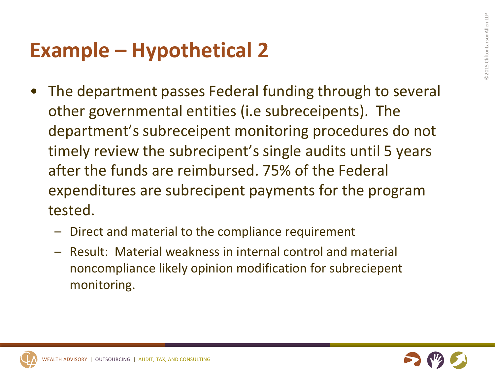#### **Example – Hypothetical 2**

- The department passes Federal funding through to several other governmental entities (i.e subreceipents). The department's subreceipent monitoring procedures do not timely review the subrecipent's single audits until 5 years after the funds are reimbursed. 75% of the Federal expenditures are subrecipent payments for the program tested.
	- Direct and material to the compliance requirement
	- Result: Material weakness in internal control and material noncompliance likely opinion modification for subreciepent monitoring.

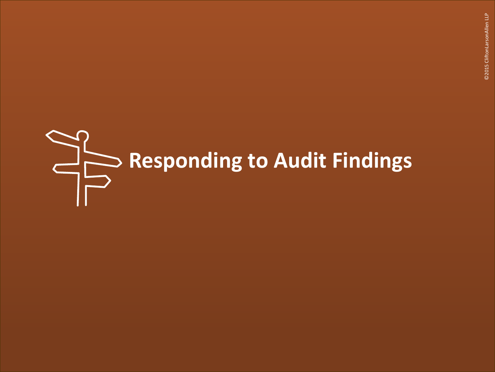# **Responding to Audit Findings**

©2015 CliftonLarsonAllen LLP ©2015 CliftonLarsonAllen LLP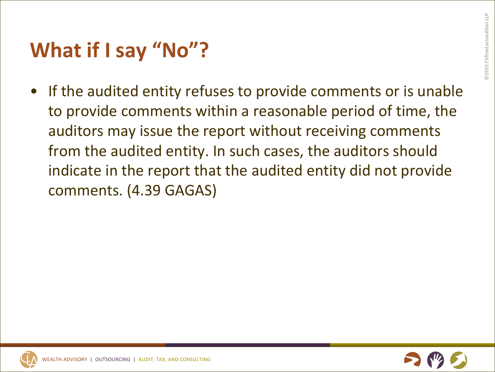#### **What if I say "No"?**

• If the audited entity refuses to provide comments or is unable to provide comments within a reasonable period of time, the auditors may issue the report without receiving comments from the audited entity. In such cases, the auditors should indicate in the report that the audited entity did not provide comments. (4.39 GAGAS)

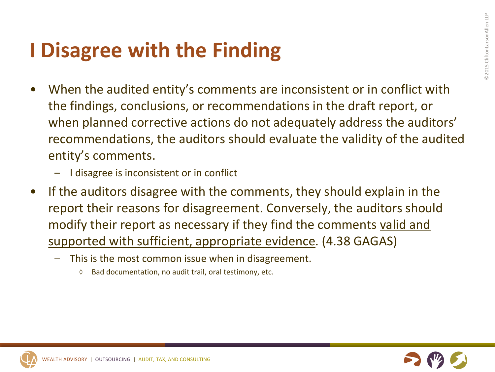#### **I** Disagree with the Finding

- When the audited entity's comments are inconsistent or in conflict with the findings, conclusions, or recommendations in the draft report, or when planned corrective actions do not adequately address the auditors' recommendations, the auditors should evaluate the validity of the audited entity's comments.
	- I disagree is inconsistent or in conflict
- If the auditors disagree with the comments, they should explain in the report their reasons for disagreement. Conversely, the auditors should modify their report as necessary if they find the comments valid and supported with sufficient, appropriate evidence. (4.38 GAGAS)
	- This is the most common issue when in disagreement.
		- ◊ Bad documentation, no audit trail, oral testimony, etc.

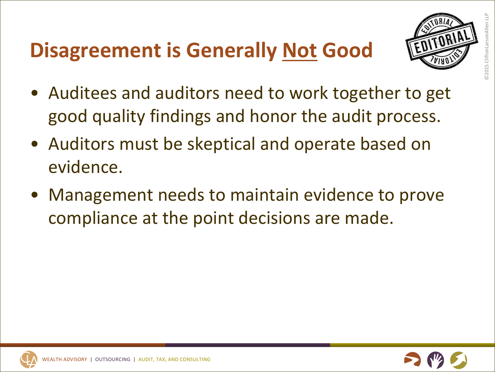## **Disagreement is Generally Not Good**



- Auditees and auditors need to work together to get good quality findings and honor the audit process.
- Auditors must be skeptical and operate based on evidence.
- Management needs to maintain evidence to prove compliance at the point decisions are made.

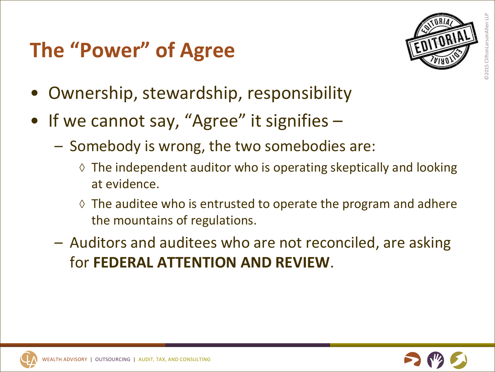## **The "Power" of Agree**



- Ownership, stewardship, responsibility
- If we cannot say, "Agree" it signifies  $-$ 
	- $-$  Somebody is wrong, the two somebodies are:
		- $\Diamond$  The independent auditor who is operating skeptically and looking at evidence.
		- $\Diamond$  The auditee who is entrusted to operate the program and adhere the mountains of regulations.
	- $-$  Auditors and auditees who are not reconciled, are asking **for FEDERAL ATTENTION AND REVIEW.**

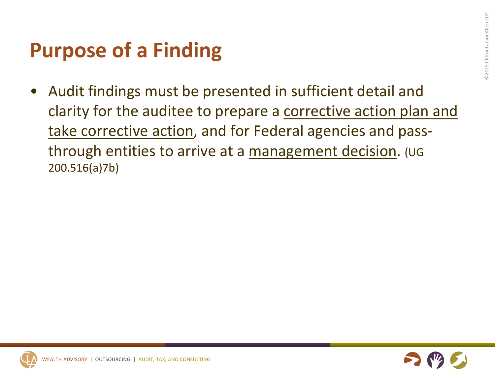#### **Purpose of a Finding**

Audit findings must be presented in sufficient detail and clarity for the auditee to prepare a corrective action plan and take corrective action, and for Federal agencies and passthrough entities to arrive at a management decision. (UG 200.516(a)7b)

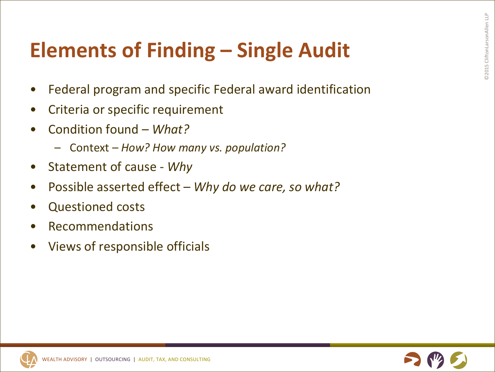## **Elements of Finding – Single Audit**

- Federal program and specific Federal award identification
- Criteria or specific requirement
- Condition found *What?* 
	- $-$  Context How? How many vs. population?
- Statement of cause Why
- Possible asserted effect Why do we care, so what?
- Questioned costs
- Recommendations
- Views of responsible officials

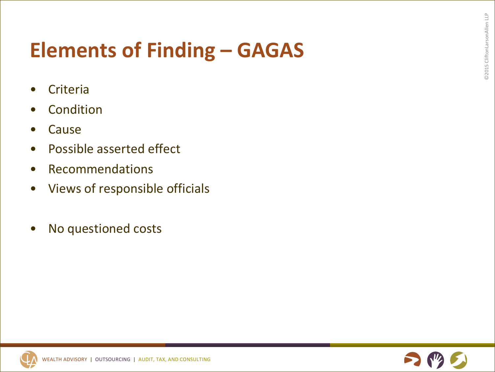### **Elements of Finding – GAGAS**

- **Criteria**
- **Condition**
- **Cause**
- Possible asserted effect
- Recommendations
- Views of responsible officials
- No questioned costs

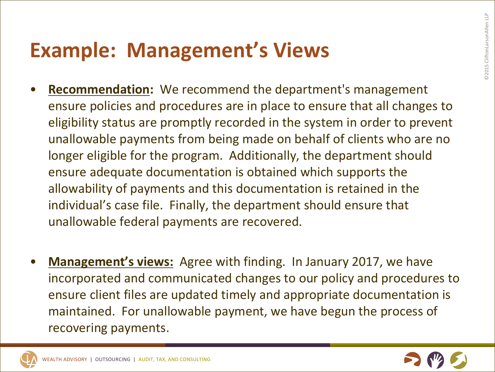#### **Example: Management's Views**

- **Recommendation:** We recommend the department's management ensure policies and procedures are in place to ensure that all changes to eligibility status are promptly recorded in the system in order to prevent unallowable payments from being made on behalf of clients who are no longer eligible for the program. Additionally, the department should ensure adequate documentation is obtained which supports the allowability of payments and this documentation is retained in the individual's case file. Finally, the department should ensure that unallowable federal payments are recovered.
- **Management's views:** Agree with finding. In January 2017, we have incorporated and communicated changes to our policy and procedures to ensure client files are updated timely and appropriate documentation is maintained. For unallowable payment, we have begun the process of recovering payments.

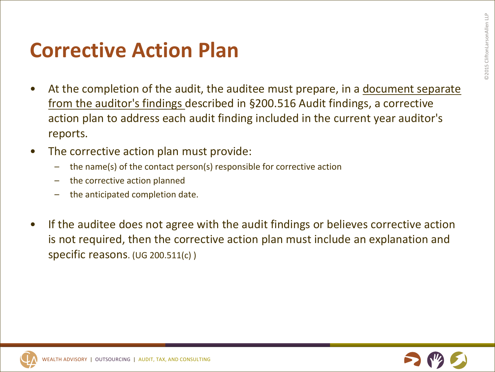#### **Corrective Action Plan**

- At the completion of the audit, the auditee must prepare, in a document separate from the auditor's findings described in §200.516 Audit findings, a corrective action plan to address each audit finding included in the current year auditor's reports.
- The corrective action plan must provide:
	- the name(s) of the contact person(s) responsible for corrective action
	- the corrective action planned
	- the anticipated completion date.
- If the auditee does not agree with the audit findings or believes corrective action is not required, then the corrective action plan must include an explanation and specific reasons. (UG 200.511(c) )

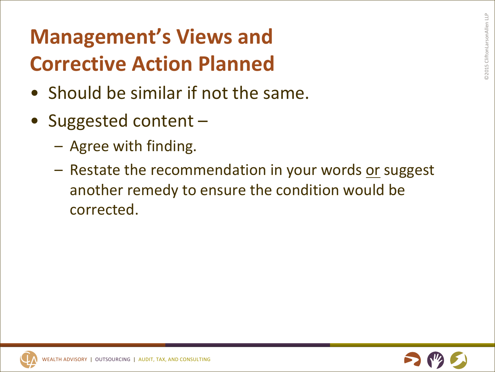# **Management's Views and Corrective Action Planned**

- Should be similar if not the same.
- Suggested content -
	- $-$  Agree with finding.
	- Restate the recommendation in your words or suggest another remedy to ensure the condition would be corrected.

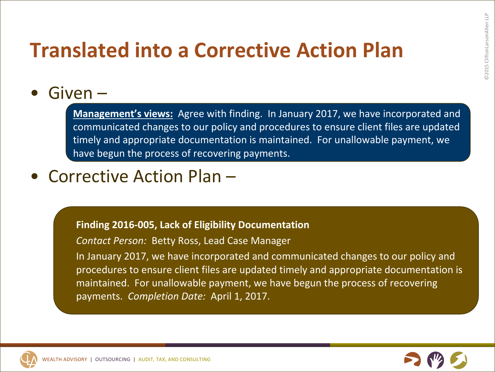#### **Translated into a Corrective Action Plan**

#### $\bullet$  Given  $-$

**Management's views:** Agree with finding. In January 2017, we have incorporated and communicated changes to our policy and procedures to ensure client files are updated timely and appropriate documentation is maintained. For unallowable payment, we have begun the process of recovering payments.

#### • Corrective Action Plan –

#### **Finding 2016-005, Lack of Eligibility Documentation**

**Contact Person: Betty Ross, Lead Case Manager** 

In January 2017, we have incorporated and communicated changes to our policy and procedures to ensure client files are updated timely and appropriate documentation is maintained. For unallowable payment, we have begun the process of recovering payments. Completion Date: April 1, 2017.



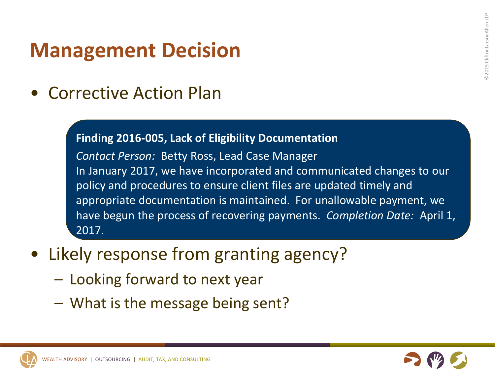#### **Management Decision**

• Corrective Action Plan

#### **Finding 2016-005, Lack of Eligibility Documentation**

**Contact Person: Betty Ross, Lead Case Manager** In January 2017, we have incorporated and communicated changes to our policy and procedures to ensure client files are updated timely and appropriate documentation is maintained. For unallowable payment, we have begun the process of recovering payments. *Completion Date:* April 1, 2017.

- Likely response from granting agency?
	- $-$  Looking forward to next year
	- $-$  What is the message being sent?

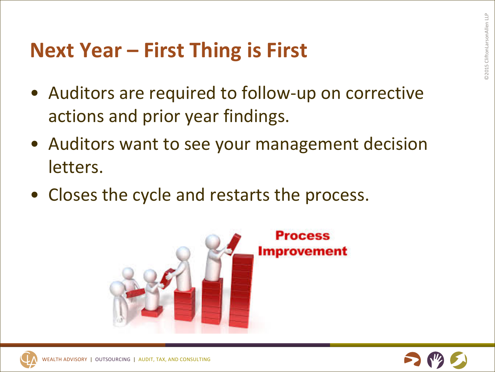#### **Next Year – First Thing is First**

- Auditors are required to follow-up on corrective actions and prior year findings.
- Auditors want to see your management decision letters.
- Closes the cycle and restarts the process.



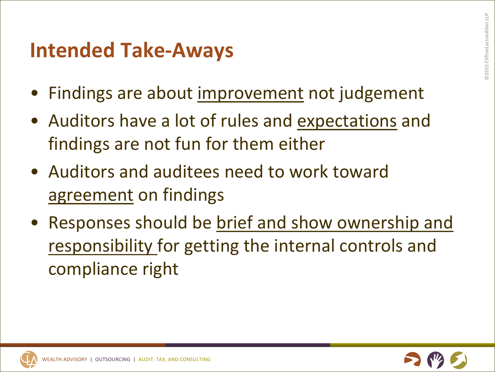#### **Intended Take-Aways**

- Findings are about improvement not judgement
- Auditors have a lot of rules and expectations and findings are not fun for them either
- Auditors and auditees need to work toward agreement on findings
- Responses should be brief and show ownership and responsibility for getting the internal controls and compliance right

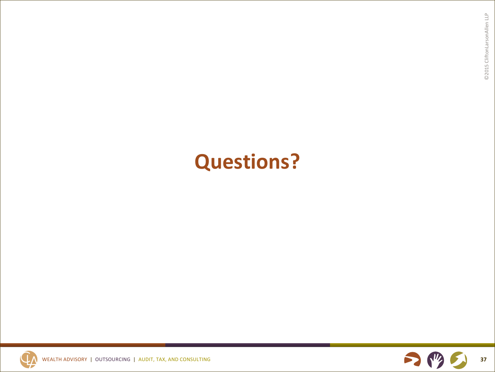#### **Questions?**



WEALTH ADVISORY | OUTSOURCING | AUDIT, TAX, AND CONSULTING